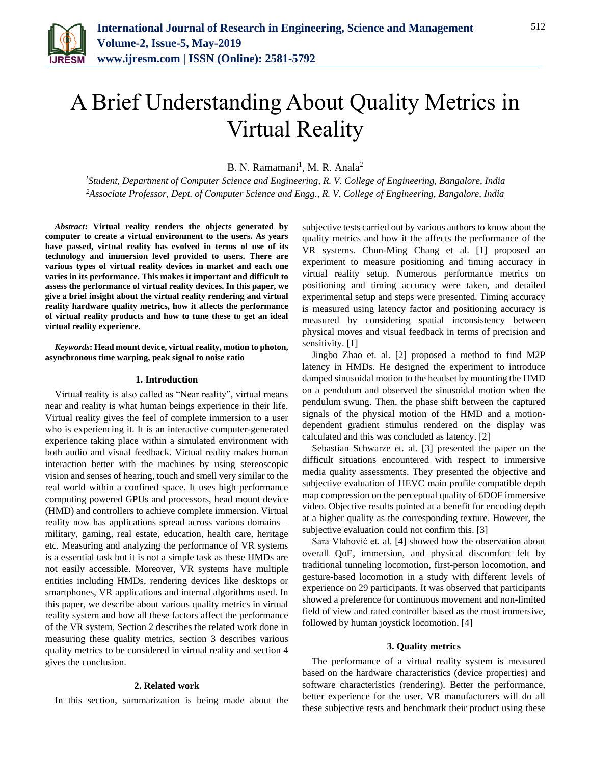

# A Brief Understanding About Quality Metrics in Virtual Reality

B. N. Ramamani<sup>1</sup>, M. R. Anala<sup>2</sup>

*<sup>1</sup>Student, Department of Computer Science and Engineering, R. V. College of Engineering, Bangalore, India <sup>2</sup>Associate Professor, Dept. of Computer Science and Engg., R. V. College of Engineering, Bangalore, India*

*Abstract***: Virtual reality renders the objects generated by computer to create a virtual environment to the users. As years have passed, virtual reality has evolved in terms of use of its technology and immersion level provided to users. There are various types of virtual reality devices in market and each one varies in its performance. This makes it important and difficult to assess the performance of virtual reality devices. In this paper, we give a brief insight about the virtual reality rendering and virtual reality hardware quality metrics, how it affects the performance of virtual reality products and how to tune these to get an ideal virtual reality experience.**

*Keywords***: Head mount device, virtual reality, motion to photon, asynchronous time warping, peak signal to noise ratio**

### **1. Introduction**

Virtual reality is also called as "Near reality", virtual means near and reality is what human beings experience in their life. Virtual reality gives the feel of complete immersion to a user who is experiencing it. It is an interactive computer-generated experience taking place within a simulated environment with both audio and visual feedback. Virtual reality makes human interaction better with the machines by using stereoscopic vision and senses of hearing, touch and smell very similar to the real world within a confined space. It uses high performance computing powered GPUs and processors, head mount device (HMD) and controllers to achieve complete immersion. Virtual reality now has applications spread across various domains – military, gaming, real estate, education, health care, heritage etc. Measuring and analyzing the performance of VR systems is a essential task but it is not a simple task as these HMDs are not easily accessible. Moreover, VR systems have multiple entities including HMDs, rendering devices like desktops or smartphones, VR applications and internal algorithms used. In this paper, we describe about various quality metrics in virtual reality system and how all these factors affect the performance of the VR system. Section 2 describes the related work done in measuring these quality metrics, section 3 describes various quality metrics to be considered in virtual reality and section 4 gives the conclusion.

## **2. Related work**

In this section, summarization is being made about the

subjective tests carried out by various authors to know about the quality metrics and how it the affects the performance of the VR systems. Chun-Ming Chang et al. [1] proposed an experiment to measure positioning and timing accuracy in virtual reality setup. Numerous performance metrics on positioning and timing accuracy were taken, and detailed experimental setup and steps were presented. Timing accuracy is measured using latency factor and positioning accuracy is measured by considering spatial inconsistency between physical moves and visual feedback in terms of precision and sensitivity. [1]

Jingbo Zhao et. al. [2] proposed a method to find M2P latency in HMDs. He designed the experiment to introduce damped sinusoidal motion to the headset by mounting the HMD on a pendulum and observed the sinusoidal motion when the pendulum swung. Then, the phase shift between the captured signals of the physical motion of the HMD and a motiondependent gradient stimulus rendered on the display was calculated and this was concluded as latency. [2]

Sebastian Schwarze et. al. [3] presented the paper on the difficult situations encountered with respect to immersive media quality assessments. They presented the objective and subjective evaluation of HEVC main profile compatible depth map compression on the perceptual quality of 6DOF immersive video. Objective results pointed at a benefit for encoding depth at a higher quality as the corresponding texture. However, the subjective evaluation could not confirm this. [3]

Sara Vlahović et. al. [4] showed how the observation about overall QoE, immersion, and physical discomfort felt by traditional tunneling locomotion, first-person locomotion, and gesture-based locomotion in a study with different levels of experience on 29 participants. It was observed that participants showed a preference for continuous movement and non-limited field of view and rated controller based as the most immersive, followed by human joystick locomotion. [4]

# **3. Quality metrics**

The performance of a virtual reality system is measured based on the hardware characteristics (device properties) and software characteristics (rendering). Better the performance, better experience for the user. VR manufacturers will do all these subjective tests and benchmark their product using these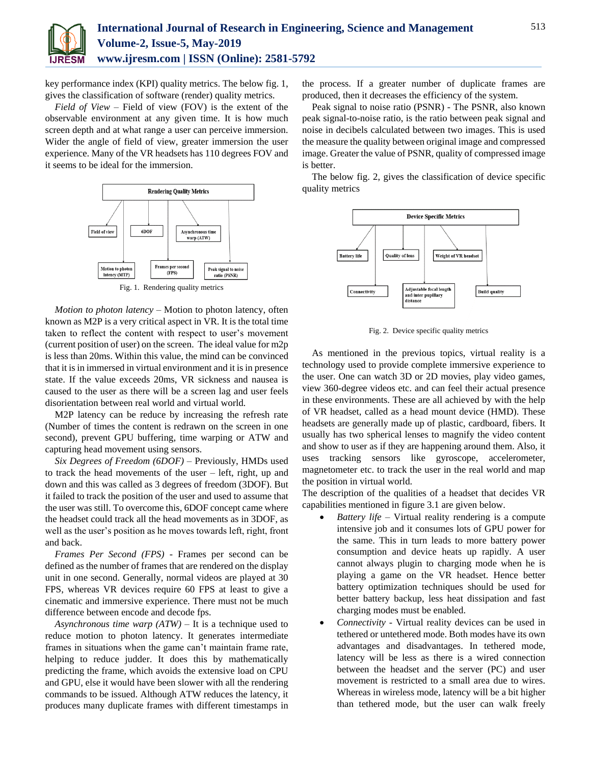

key performance index (KPI) quality metrics. The below fig. 1, gives the classification of software (render) quality metrics.

*Field of View* – Field of view (FOV) is the extent of the observable environment at any given time. It is how much screen depth and at what range a user can perceive immersion. Wider the angle of field of view, greater immersion the user experience. Many of the VR headsets has 110 degrees FOV and it seems to be ideal for the immersion.



Fig. 1. Rendering quality metrics

*Motion to photon latency* – Motion to photon latency, often known as M2P is a very critical aspect in VR. It is the total time taken to reflect the content with respect to user's movement (current position of user) on the screen. The ideal value for m2p is less than 20ms. Within this value, the mind can be convinced that it is in immersed in virtual environment and it is in presence state. If the value exceeds 20ms, VR sickness and nausea is caused to the user as there will be a screen lag and user feels disorientation between real world and virtual world.

M<sub>2</sub>P latency can be reduce by increasing the refresh rate (Number of times the content is redrawn on the screen in one second), prevent GPU buffering, time warping or ATW and capturing head movement using sensors.

*Six Degrees of Freedom (6DOF)* – Previously, HMDs used to track the head movements of the user – left, right, up and down and this was called as 3 degrees of freedom (3DOF). But it failed to track the position of the user and used to assume that the user was still. To overcome this, 6DOF concept came where the headset could track all the head movements as in 3DOF, as well as the user's position as he moves towards left, right, front and back.

*Frames Per Second (FPS)* - Frames per second can be defined as the number of frames that are rendered on the display unit in one second. Generally, normal videos are played at 30 FPS, whereas VR devices require 60 FPS at least to give a cinematic and immersive experience. There must not be much difference between encode and decode fps.

*Asynchronous time warp (ATW)* – It is a technique used to reduce motion to photon latency. It generates intermediate frames in situations when the game can't maintain frame rate, helping to reduce judder. It does this by mathematically predicting the frame, which avoids the extensive load on CPU and GPU, else it would have been slower with all the rendering commands to be issued. Although ATW reduces the latency, it produces many duplicate frames with different timestamps in

the process. If a greater number of duplicate frames are produced, then it decreases the efficiency of the system.

Peak signal to noise ratio (PSNR) - The PSNR, also known peak signal-to-noise ratio, is the ratio between peak signal and noise in decibels calculated between two images. This is used the measure the quality between original image and compressed image. Greater the value of PSNR, quality of compressed image is better.

The below fig. 2, gives the classification of device specific quality metrics



Fig. 2. Device specific quality metrics

As mentioned in the previous topics, virtual reality is a technology used to provide complete immersive experience to the user. One can watch 3D or 2D movies, play video games, view 360-degree videos etc. and can feel their actual presence in these environments. These are all achieved by with the help of VR headset, called as a head mount device (HMD). These headsets are generally made up of plastic, cardboard, fibers. It usually has two spherical lenses to magnify the video content and show to user as if they are happening around them. Also, it uses tracking sensors like gyroscope, accelerometer, magnetometer etc. to track the user in the real world and map the position in virtual world.

The description of the qualities of a headset that decides VR capabilities mentioned in figure 3.1 are given below.

- *Battery life –* Virtual reality rendering is a compute intensive job and it consumes lots of GPU power for the same. This in turn leads to more battery power consumption and device heats up rapidly. A user cannot always plugin to charging mode when he is playing a game on the VR headset. Hence better battery optimization techniques should be used for better battery backup, less heat dissipation and fast charging modes must be enabled.
- *Connectivity -* Virtual reality devices can be used in tethered or untethered mode. Both modes have its own advantages and disadvantages. In tethered mode, latency will be less as there is a wired connection between the headset and the server (PC) and user movement is restricted to a small area due to wires. Whereas in wireless mode, latency will be a bit higher than tethered mode, but the user can walk freely